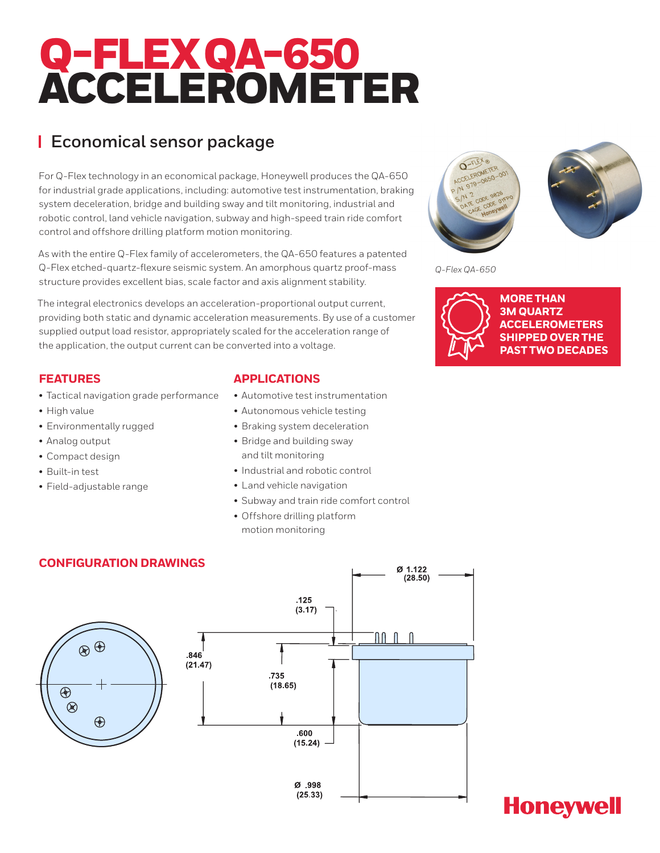# Q-FLEXQA-650 ACCELEROMETER

### **Economical sensor package**

For Q-Flex technology in an economical package, Honeywell produces the QA-650 for industrial grade applications, including: automotive test instrumentation, braking system deceleration, bridge and building sway and tilt monitoring, industrial and robotic control, land vehicle navigation, subway and high-speed train ride comfort control and offshore drilling platform motion monitoring.

As with the entire Q-Flex family of accelerometers, the QA-650 features a patented Q-Flex etched-quartz-flexure seismic system. An amorphous quartz proof-mass structure provides excellent bias, scale factor and axis alignment stability.

The integral electronics develops an acceleration-proportional output current, providing both static and dynamic acceleration measurements. By use of a customer supplied output load resistor, appropriately scaled for the acceleration range of the application, the output current can be converted into a voltage.

### **FEATURES**

- Tactical navigation grade performance
- High value
- Environmentally rugged
- Analog output
- Compact design
- Built-in test
- Field-adjustable range

### **APPLICATIONS**

- Automotive test instrumentation
- Autonomous vehicle testing
- Braking system deceleration
- Bridge and building sway and tilt monitoring
- Industrial and robotic control
- Land vehicle navigation
- Subway and train ride comfort control
- Offshore drilling platform motion monitoring



*Q-Flex QA-650*



**MORE THAN 3M QUARTZ ACCELEROMETERS SHIPPED OVER THE PAST TWO DECADES** 



## **Honeywell**